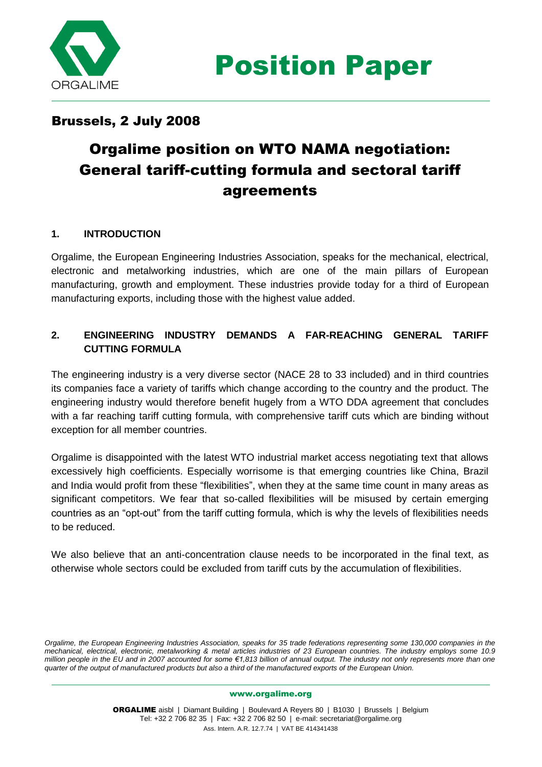

## Brussels, 2 July 2008

# Orgalime position on WTO NAMA negotiation: General tariff-cutting formula and sectoral tariff agreements

### **1. INTRODUCTION**

Orgalime, the European Engineering Industries Association, speaks for the mechanical, electrical, electronic and metalworking industries, which are one of the main pillars of European manufacturing, growth and employment. These industries provide today for a third of European manufacturing exports, including those with the highest value added.

## **2. ENGINEERING INDUSTRY DEMANDS A FAR-REACHING GENERAL TARIFF CUTTING FORMULA**

The engineering industry is a very diverse sector (NACE 28 to 33 included) and in third countries its companies face a variety of tariffs which change according to the country and the product. The engineering industry would therefore benefit hugely from a WTO DDA agreement that concludes with a far reaching tariff cutting formula, with comprehensive tariff cuts which are binding without exception for all member countries.

Orgalime is disappointed with the latest WTO industrial market access negotiating text that allows excessively high coefficients. Especially worrisome is that emerging countries like China, Brazil and India would profit from these "flexibilities", when they at the same time count in many areas as significant competitors. We fear that so-called flexibilities will be misused by certain emerging countries as an "opt-out" from the tariff cutting formula, which is why the levels of flexibilities needs to be reduced.

We also believe that an anti-concentration clause needs to be incorporated in the final text, as otherwise whole sectors could be excluded from tariff cuts by the accumulation of flexibilities.

*Orgalime, the European Engineering Industries Association, speaks for 35 trade federations representing some 130,000 companies in the mechanical, electrical, electronic, metalworking & metal articles industries of 23 European countries. The industry employs some 10.9 million people in the EU and in 2007 accounted for some €1,813 billion of annual output. The industry not only represents more than one quarter of the output of manufactured products but also a third of the manufactured exports of the European Union.*

#### www.orgalime.org